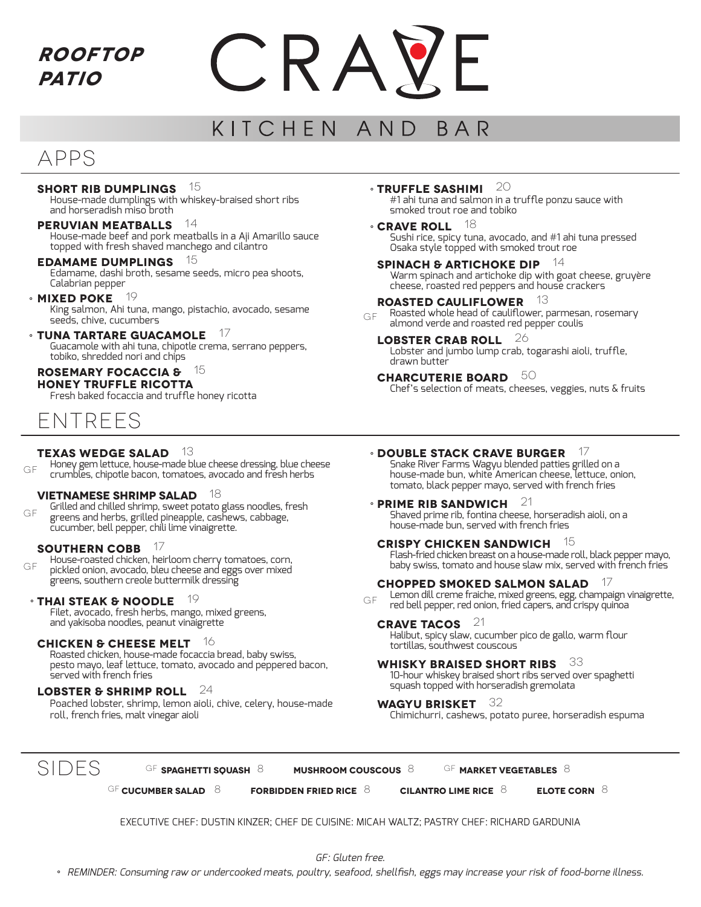**Rooftop Patio**



#### KITCHEN AND **BAR**

# APPS

## **Short Rib Dumplings** 15

House-made dumplings with whiskey-braised short ribs and horseradish miso broth

# **Peruvian Meatballs** 14

House-made beef and pork meatballs in a Aji Amarillo sauce topped with fresh shaved manchego and cilantro

# **Edamame Dumplings** 15

Edamame, dashi broth, sesame seeds, micro pea shoots, Calabrian pepper

# **MIXED POKE** 19

King salmon, Ahi tuna, mango, pistachio, avocado, sesame seeds, chive, cucumbers

# **Tuna tartare guacamole** 17 °

Guacamole with ahi tuna, chipotle crema, serrano peppers, tobiko, shredded nori and chips

# **Rosemary Focaccia &** 15

**Honey Truffle Ricotta**

Fresh baked focaccia and truffle honey ricotta



# **Texas Wedge Salad** 13

Honey gem lettuce, house-made blue cheese dressing, blue cheese crumbles, chipotle bacon, tomatoes, avocado and fresh herbs GF

## **Vietnamese Shrimp Salad** 18

Grilled and chilled shrimp, sweet potato glass noodles, fresh greens and herbs, grilled pineapple, cashews, cabbage, cucumber, bell pepper, chili lime vinaigrette. gf

## **Southern Cobb** 17

House-roasted chicken, heirloom cherry tomatoes, corn, pickled onion, avocado, bleu cheese and eggs over mixed greens, southern creole buttermilk dressing  $GF$ 

# **THAI STEAK & NOODLE** <sup>19</sup><br>Filst average freeblecks mange mived greese

Filet, avocado, fresh herbs, mango, mixed greens, and yakisoba noodles, peanut vinaigrette

# **Chicken & Cheese Melt** 16

Roasted chicken, house-made focaccia bread, baby swiss, pesto mayo, leaf lettuce, tomato, avocado and peppered bacon, served with french fries

# **Lobster & Shrimp Roll** 24

Poached lobster, shrimp, lemon aioli, chive, celery, house-made roll, french fries, malt vinegar aioli

**TRUFFLE SASHIMI** 20

#1 ahi tuna and salmon in a truffle ponzu sauce with smoked trout roe and tobiko

- **CRAVE ROLL** 18 Sushi rice, spicy tuna, avocado, and #1 ahi tuna pressed Osaka style topped with smoked trout roe
- **SPINACH & ARTICHOKE DIP** Warm spinach and artichoke dip with goat cheese, gruyère cheese, roasted red peppers and house crackers

# **Roasted Cauliflower** 13

Roasted whole head of cauliflower, parmesan, rosemary almond verde and roasted red pepper coulis gf

**Lobster Crab Roll** 26 Lobster and jumbo lump crab, togarashi aioli, truffle, drawn butter

**charcuterie board** 50 Chef's selection of meats, cheeses, veggies, nuts & fruits

# **DOUBLE STACK CRAVE BURGER** <sup>17</sup>

Snake River Farms Wagyu blended patties grilled on a house-made bun, white American cheese, lettuce, onion, tomato, black pepper mayo, served with french fries

#### **PRIME RIB SANDWICH** <sup>21</sup> Shaved prime rib, fontina cheese, horseradish aioli, on a house-made bun, served with french fries

**Crispy Chicken Sandwich** 15 Flash-fried chicken breast on a house-made roll, black pepper mayo, baby swiss, tomato and house slaw mix, served with french fries

## **Chopped Smoked Salmon Salad** 17

Lemon dill creme fraiche, mixed greens, egg, champaign vinaigrette, red bell pepper, red onion, fried capers, and crispy quinoa

# **Crave Tacos** 21

Halibut, spicy slaw, cucumber pico de gallo, warm flour tortillas, southwest couscous

## **Whisky Braised Short Ribs** 33

10-hour whiskey braised short ribs served over spaghetti squash topped with horseradish gremolata

## **Wagyu Brisket** 32

Chimichurri, cashews, potato puree, horseradish espuma

SIDES

gf **Spaghetti Squash** 8 **Mushroom Couscous** 8 gf **Market Vegetables** 8

gf **cucumber salad** 8 **Forbidden fried rice** 8 **Cilantro Lime rice** 8 **Elote corn** 8

EXECUTIVE CHEF: DUSTIN KINZER; CHEF DE CUISINE: MICAH WALTZ; PASTRY CHEF: RICHARD GARDUNIA

GF: Gluten free.

° REMINDER: Consuming raw or undercooked meats, poultry, seafood, shellfish, eggs may increase your risk of food-borne illness.